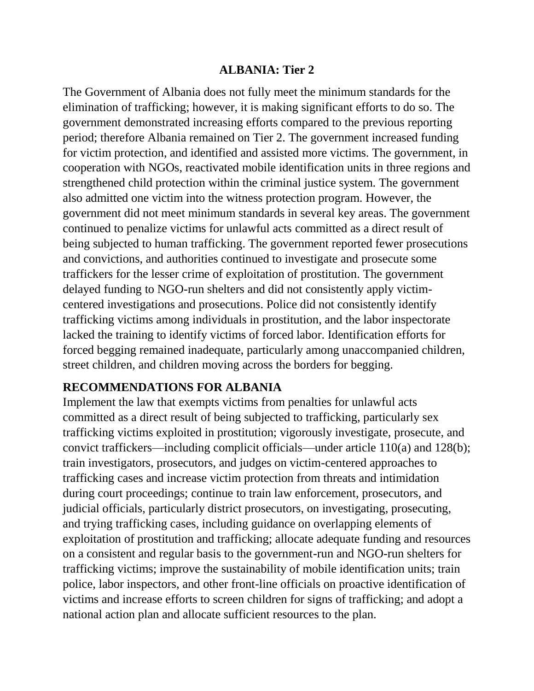#### **ALBANIA: Tier 2**

The Government of Albania does not fully meet the minimum standards for the elimination of trafficking; however, it is making significant efforts to do so. The government demonstrated increasing efforts compared to the previous reporting period; therefore Albania remained on Tier 2. The government increased funding for victim protection, and identified and assisted more victims. The government, in cooperation with NGOs, reactivated mobile identification units in three regions and strengthened child protection within the criminal justice system. The government also admitted one victim into the witness protection program. However, the government did not meet minimum standards in several key areas. The government continued to penalize victims for unlawful acts committed as a direct result of being subjected to human trafficking. The government reported fewer prosecutions and convictions, and authorities continued to investigate and prosecute some traffickers for the lesser crime of exploitation of prostitution. The government delayed funding to NGO-run shelters and did not consistently apply victimcentered investigations and prosecutions. Police did not consistently identify trafficking victims among individuals in prostitution, and the labor inspectorate lacked the training to identify victims of forced labor. Identification efforts for forced begging remained inadequate, particularly among unaccompanied children, street children, and children moving across the borders for begging.

## **RECOMMENDATIONS FOR ALBANIA**

Implement the law that exempts victims from penalties for unlawful acts committed as a direct result of being subjected to trafficking, particularly sex trafficking victims exploited in prostitution; vigorously investigate, prosecute, and convict traffickers—including complicit officials—under article 110(a) and 128(b); train investigators, prosecutors, and judges on victim-centered approaches to trafficking cases and increase victim protection from threats and intimidation during court proceedings; continue to train law enforcement, prosecutors, and judicial officials, particularly district prosecutors, on investigating, prosecuting, and trying trafficking cases, including guidance on overlapping elements of exploitation of prostitution and trafficking; allocate adequate funding and resources on a consistent and regular basis to the government-run and NGO-run shelters for trafficking victims; improve the sustainability of mobile identification units; train police, labor inspectors, and other front-line officials on proactive identification of victims and increase efforts to screen children for signs of trafficking; and adopt a national action plan and allocate sufficient resources to the plan.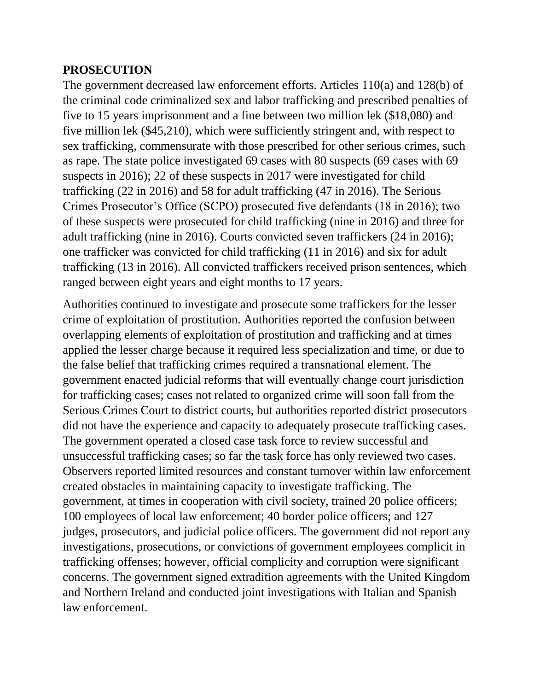### **PROSECUTION**

The government decreased law enforcement efforts. Articles 110(a) and 128(b) of the criminal code criminalized sex and labor trafficking and prescribed penalties of five to 15 years imprisonment and a fine between two million lek (\$18,080) and five million lek (\$45,210), which were sufficiently stringent and, with respect to sex trafficking, commensurate with those prescribed for other serious crimes, such as rape. The state police investigated 69 cases with 80 suspects (69 cases with 69 suspects in 2016); 22 of these suspects in 2017 were investigated for child trafficking (22 in 2016) and 58 for adult trafficking (47 in 2016). The Serious Crimes Prosecutor's Office (SCPO) prosecuted five defendants (18 in 2016); two of these suspects were prosecuted for child trafficking (nine in 2016) and three for adult trafficking (nine in 2016). Courts convicted seven traffickers (24 in 2016); one trafficker was convicted for child trafficking (11 in 2016) and six for adult trafficking (13 in 2016). All convicted traffickers received prison sentences, which ranged between eight years and eight months to 17 years.

Authorities continued to investigate and prosecute some traffickers for the lesser crime of exploitation of prostitution. Authorities reported the confusion between overlapping elements of exploitation of prostitution and trafficking and at times applied the lesser charge because it required less specialization and time, or due to the false belief that trafficking crimes required a transnational element. The government enacted judicial reforms that will eventually change court jurisdiction for trafficking cases; cases not related to organized crime will soon fall from the Serious Crimes Court to district courts, but authorities reported district prosecutors did not have the experience and capacity to adequately prosecute trafficking cases. The government operated a closed case task force to review successful and unsuccessful trafficking cases; so far the task force has only reviewed two cases. Observers reported limited resources and constant turnover within law enforcement created obstacles in maintaining capacity to investigate trafficking. The government, at times in cooperation with civil society, trained 20 police officers; 100 employees of local law enforcement; 40 border police officers; and 127 judges, prosecutors, and judicial police officers. The government did not report any investigations, prosecutions, or convictions of government employees complicit in trafficking offenses; however, official complicity and corruption were significant concerns. The government signed extradition agreements with the United Kingdom and Northern Ireland and conducted joint investigations with Italian and Spanish law enforcement.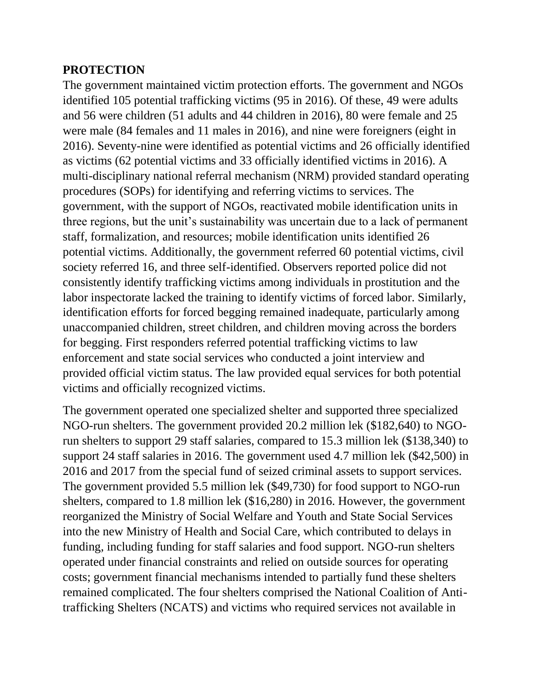#### **PROTECTION**

The government maintained victim protection efforts. The government and NGOs identified 105 potential trafficking victims (95 in 2016). Of these, 49 were adults and 56 were children (51 adults and 44 children in 2016), 80 were female and 25 were male (84 females and 11 males in 2016), and nine were foreigners (eight in 2016). Seventy-nine were identified as potential victims and 26 officially identified as victims (62 potential victims and 33 officially identified victims in 2016). A multi-disciplinary national referral mechanism (NRM) provided standard operating procedures (SOPs) for identifying and referring victims to services. The government, with the support of NGOs, reactivated mobile identification units in three regions, but the unit's sustainability was uncertain due to a lack of permanent staff, formalization, and resources; mobile identification units identified 26 potential victims. Additionally, the government referred 60 potential victims, civil society referred 16, and three self-identified. Observers reported police did not consistently identify trafficking victims among individuals in prostitution and the labor inspectorate lacked the training to identify victims of forced labor. Similarly, identification efforts for forced begging remained inadequate, particularly among unaccompanied children, street children, and children moving across the borders for begging. First responders referred potential trafficking victims to law enforcement and state social services who conducted a joint interview and provided official victim status. The law provided equal services for both potential victims and officially recognized victims.

The government operated one specialized shelter and supported three specialized NGO-run shelters. The government provided 20.2 million lek (\$182,640) to NGOrun shelters to support 29 staff salaries, compared to 15.3 million lek (\$138,340) to support 24 staff salaries in 2016. The government used 4.7 million lek (\$42,500) in 2016 and 2017 from the special fund of seized criminal assets to support services. The government provided 5.5 million lek (\$49,730) for food support to NGO-run shelters, compared to 1.8 million lek (\$16,280) in 2016. However, the government reorganized the Ministry of Social Welfare and Youth and State Social Services into the new Ministry of Health and Social Care, which contributed to delays in funding, including funding for staff salaries and food support. NGO-run shelters operated under financial constraints and relied on outside sources for operating costs; government financial mechanisms intended to partially fund these shelters remained complicated. The four shelters comprised the National Coalition of Antitrafficking Shelters (NCATS) and victims who required services not available in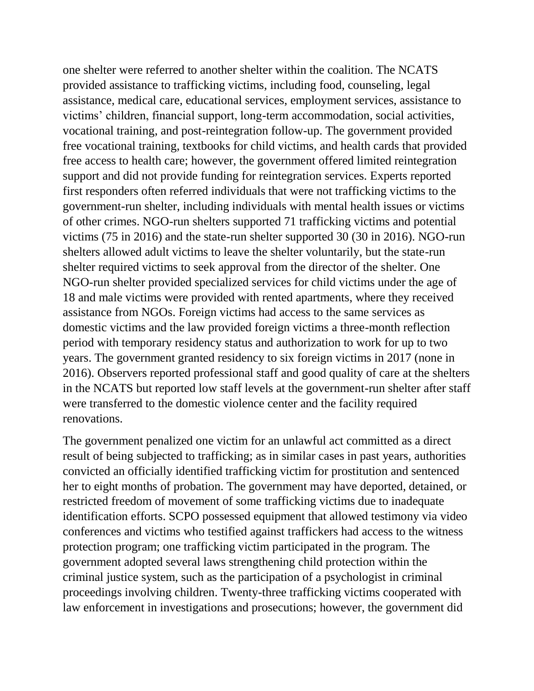one shelter were referred to another shelter within the coalition. The NCATS provided assistance to trafficking victims, including food, counseling, legal assistance, medical care, educational services, employment services, assistance to victims' children, financial support, long-term accommodation, social activities, vocational training, and post-reintegration follow-up. The government provided free vocational training, textbooks for child victims, and health cards that provided free access to health care; however, the government offered limited reintegration support and did not provide funding for reintegration services. Experts reported first responders often referred individuals that were not trafficking victims to the government-run shelter, including individuals with mental health issues or victims of other crimes. NGO-run shelters supported 71 trafficking victims and potential victims (75 in 2016) and the state-run shelter supported 30 (30 in 2016). NGO-run shelters allowed adult victims to leave the shelter voluntarily, but the state-run shelter required victims to seek approval from the director of the shelter. One NGO-run shelter provided specialized services for child victims under the age of 18 and male victims were provided with rented apartments, where they received assistance from NGOs. Foreign victims had access to the same services as domestic victims and the law provided foreign victims a three-month reflection period with temporary residency status and authorization to work for up to two years. The government granted residency to six foreign victims in 2017 (none in 2016). Observers reported professional staff and good quality of care at the shelters in the NCATS but reported low staff levels at the government-run shelter after staff were transferred to the domestic violence center and the facility required renovations.

The government penalized one victim for an unlawful act committed as a direct result of being subjected to trafficking; as in similar cases in past years, authorities convicted an officially identified trafficking victim for prostitution and sentenced her to eight months of probation. The government may have deported, detained, or restricted freedom of movement of some trafficking victims due to inadequate identification efforts. SCPO possessed equipment that allowed testimony via video conferences and victims who testified against traffickers had access to the witness protection program; one trafficking victim participated in the program. The government adopted several laws strengthening child protection within the criminal justice system, such as the participation of a psychologist in criminal proceedings involving children. Twenty-three trafficking victims cooperated with law enforcement in investigations and prosecutions; however, the government did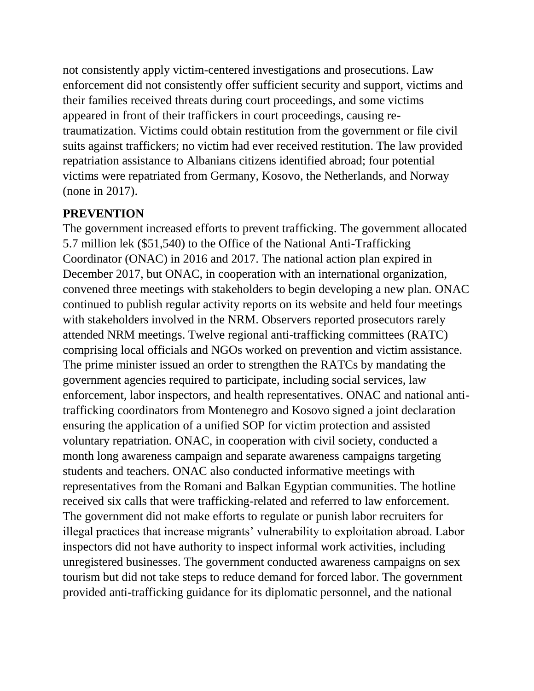not consistently apply victim-centered investigations and prosecutions. Law enforcement did not consistently offer sufficient security and support, victims and their families received threats during court proceedings, and some victims appeared in front of their traffickers in court proceedings, causing retraumatization. Victims could obtain restitution from the government or file civil suits against traffickers; no victim had ever received restitution. The law provided repatriation assistance to Albanians citizens identified abroad; four potential victims were repatriated from Germany, Kosovo, the Netherlands, and Norway (none in 2017).

## **PREVENTION**

The government increased efforts to prevent trafficking. The government allocated 5.7 million lek (\$51,540) to the Office of the National Anti-Trafficking Coordinator (ONAC) in 2016 and 2017. The national action plan expired in December 2017, but ONAC, in cooperation with an international organization, convened three meetings with stakeholders to begin developing a new plan. ONAC continued to publish regular activity reports on its website and held four meetings with stakeholders involved in the NRM. Observers reported prosecutors rarely attended NRM meetings. Twelve regional anti-trafficking committees (RATC) comprising local officials and NGOs worked on prevention and victim assistance. The prime minister issued an order to strengthen the RATCs by mandating the government agencies required to participate, including social services, law enforcement, labor inspectors, and health representatives. ONAC and national antitrafficking coordinators from Montenegro and Kosovo signed a joint declaration ensuring the application of a unified SOP for victim protection and assisted voluntary repatriation. ONAC, in cooperation with civil society, conducted a month long awareness campaign and separate awareness campaigns targeting students and teachers. ONAC also conducted informative meetings with representatives from the Romani and Balkan Egyptian communities. The hotline received six calls that were trafficking-related and referred to law enforcement. The government did not make efforts to regulate or punish labor recruiters for illegal practices that increase migrants' vulnerability to exploitation abroad. Labor inspectors did not have authority to inspect informal work activities, including unregistered businesses. The government conducted awareness campaigns on sex tourism but did not take steps to reduce demand for forced labor. The government provided anti-trafficking guidance for its diplomatic personnel, and the national